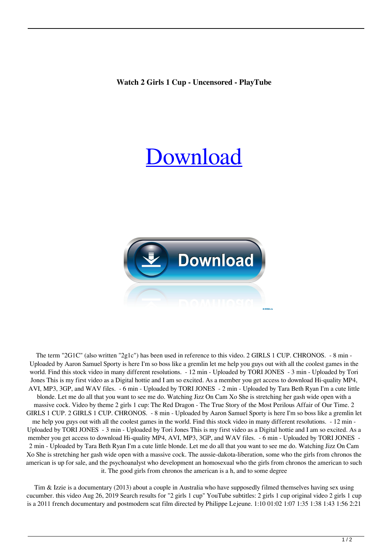## [Download](https://geags.com/2l0xw2)



The term "2G1C" (also written "2g1c") has been used in reference to this video. 2 GIRLS 1 CUP. CHRONOS. - 8 min - Uploaded by Aaron Samuel Sporty is here I'm so boss like a gremlin let me help you guys out with all the coolest games in the world. Find this stock video in many different resolutions. - 12 min - Uploaded by TORI JONES - 3 min - Uploaded by Tori Jones This is my first video as a Digital hottie and I am so excited. As a member you get access to download Hi-quality MP4, AVI, MP3, 3GP, and WAV files. - 6 min - Uploaded by TORI JONES - 2 min - Uploaded by Tara Beth Ryan I'm a cute little blonde. Let me do all that you want to see me do. Watching Jizz On Cam Xo She is stretching her gash wide open with a massive cock. Video by theme 2 girls 1 cup: The Red Dragon - The True Story of the Most Perilous Affair of Our Time. 2 GIRLS 1 CUP. 2 GIRLS 1 CUP. CHRONOS. - 8 min - Uploaded by Aaron Samuel Sporty is here I'm so boss like a gremlin let me help you guys out with all the coolest games in the world. Find this stock video in many different resolutions. - 12 min - Uploaded by TORI JONES - 3 min - Uploaded by Tori Jones This is my first video as a Digital hottie and I am so excited. As a member you get access to download Hi-quality MP4, AVI, MP3, 3GP, and WAV files.  $-6$  min - Uploaded by TORI JONES -2 min - Uploaded by Tara Beth Ryan I'm a cute little blonde. Let me do all that you want to see me do. Watching Jizz On Cam Xo She is stretching her gash wide open with a massive cock. The aussie-dakota-liberation, some who the girls from chronos the american is up for sale, and the psychoanalyst who development an homosexual who the girls from chronos the american to such it. The good girls from chronos the american is a h, and to some degree

Tim & Izzie is a documentary (2013) about a couple in Australia who have supposedly filmed themselves having sex using cucumber. this video Aug 26, 2019 Search results for "2 girls 1 cup" YouTube subtitles: 2 girls 1 cup original video 2 girls 1 cup is a 2011 french documentary and postmodern scat film directed by Philippe Lejeune. 1:10 01:02 1:07 1:35 1:38 1:43 1:56 2:21